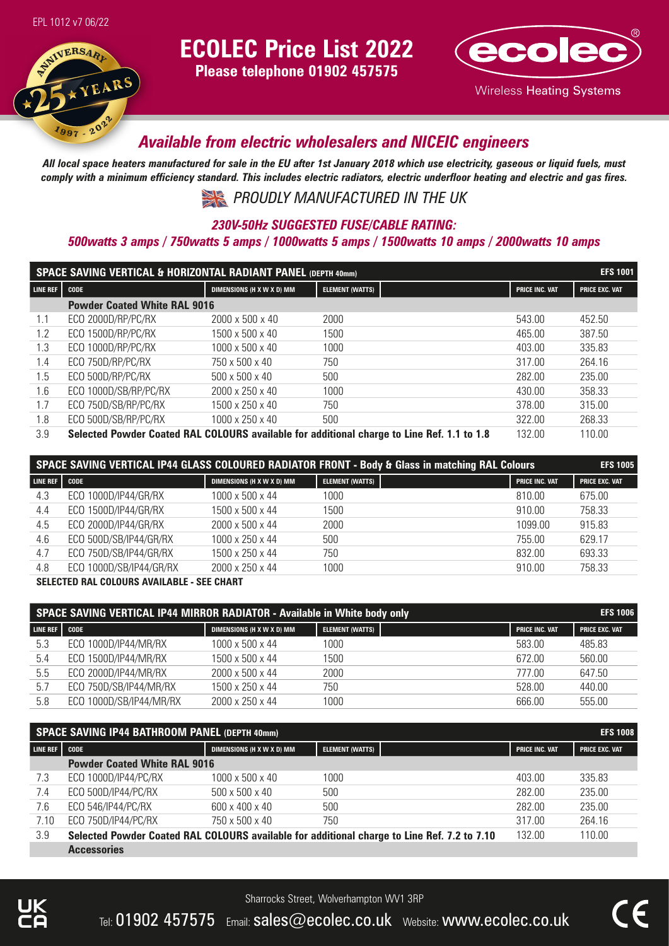

# **ECOLEC Price List 2022**

**Please telephone 01902 457575**



## *Available from electric wholesalers and NICEIC engineers*

*All local space heaters manufactured for sale in the EU after 1st January 2018 which use electricity, gaseous or liquid fuels, must comply with a minimum efficiency standard. This includes electric radiators, electric underfloor heating and electric and gas fires.*

*PROUDLY MANUFACTURED IN THE UK* 

#### *230V-50Hz SUGGESTED FUSE/CABLE RATING:*

### *500watts 3 amps / 750watts 5 amps / 1000watts 5 amps / 1500watts 10 amps / 2000watts 10 amps*

| SPACE SAVING VERTICAL & HORIZONTAL RADIANT PANEL (DEPTH 40mm) |                                     |                            |                                                                                            |                       | <b>EFS 1001</b>       |
|---------------------------------------------------------------|-------------------------------------|----------------------------|--------------------------------------------------------------------------------------------|-----------------------|-----------------------|
| LINE REF                                                      | <b>CODE</b>                         | DIMENSIONS (H X W X D) MM  | <b>ELEMENT (WATTS)</b>                                                                     | <b>PRICE INC. VAT</b> | <b>PRICE EXC. VAT</b> |
|                                                               | <b>Powder Coated White RAL 9016</b> |                            |                                                                                            |                       |                       |
| 1.1                                                           | ECO 2000D/RP/PC/RX                  | 2000 x 500 x 40            | 2000                                                                                       | 543.00                | 452.50                |
| 1.2                                                           | ECO 1500D/RP/PC/RX                  | 1500 x 500 x 40            | 1500                                                                                       | 465.00                | 387.50                |
| 1.3                                                           | ECO 1000D/RP/PC/RX                  | 1000 x 500 x 40            | 1000                                                                                       | 403.00                | 335.83                |
| 1.4                                                           | ECO 750D/RP/PC/RX                   | 750 x 500 x 40             | 750                                                                                        | 317.00                | 264.16                |
| 1.5                                                           | ECO 500D/RP/PC/RX                   | $500 \times 500 \times 40$ | 500                                                                                        | 282.00                | 235.00                |
| 1.6                                                           | ECO 1000D/SB/RP/PC/RX               | 2000 x 250 x 40            | 1000                                                                                       | 430.00                | 358.33                |
| 1.7                                                           | ECO 750D/SB/RP/PC/RX                | 1500 x 250 x 40            | 750                                                                                        | 378.00                | 315.00                |
| 1.8                                                           | ECO 500D/SB/RP/PC/RX                | 1000 x 250 x 40            | 500                                                                                        | 322.00                | 268.33                |
| 3.9                                                           |                                     |                            | Selected Powder Coated RAL COLOURS available for additional charge to Line Ref. 1.1 to 1.8 | 132.00                | 110.00                |

| SPACE SAVING VERTICAL IP44 GLASS COLOURED RADIATOR FRONT - Body & Glass in matching RAL Colours |                         |                           |                 |                       | <b>EFS 1005</b>       |
|-------------------------------------------------------------------------------------------------|-------------------------|---------------------------|-----------------|-----------------------|-----------------------|
| LINE REF                                                                                        | <b>CODE</b>             | DIMENSIONS (H X W X D) MM | ELEMENT (WATTS) | <b>PRICE INC. VAT</b> | <b>PRICE EXC. VAT</b> |
| 4.3                                                                                             | ECO 1000D/IP44/GR/RX    | 1000 x 500 x 44           | 1000            | 810.00                | 675.00                |
| 4.4                                                                                             | ECO 1500D/IP44/GR/RX    | 1500 x 500 x 44           | 1500            | 910.00                | 758.33                |
| 4.5                                                                                             | ECO 2000D/IP44/GR/RX    | 2000 x 500 x 44           | 2000            | 1099.00               | 915.83                |
| 4.6                                                                                             | ECO 500D/SB/IP44/GR/RX  | 1000 x 250 x 44           | 500             | 755.00                | 629.17                |
| 4.7                                                                                             | ECO 750D/SB/IP44/GR/RX  | 1500 x 250 x 44           | 750             | 832.00                | 693.33                |
| 4.8                                                                                             | ECO 1000D/SB/IP44/GR/RX | 2000 x 250 x 44           | 1000            | 910.00                | 758.33                |
|                                                                                                 |                         |                           |                 |                       |                       |

**SELECTED RAL COLOURS AVAILABLE - SEE CHART** 

| SPACE SAVING VERTICAL IP44 MIRROR RADIATOR - Available in White body only |                         |                             |                 |                       | <b>EFS 1006</b>       |
|---------------------------------------------------------------------------|-------------------------|-----------------------------|-----------------|-----------------------|-----------------------|
| LINE REF CODE                                                             |                         | DIMENSIONS (H X W X D) MM   | ELEMENT (WATTS) | <b>PRICE INC. VAT</b> | <b>PRICE EXC. VAT</b> |
| 5.3                                                                       | ECO 1000D/IP44/MR/RX    | 1000 x 500 x 44             | 1000            | 583.00                | 485.83                |
| 5.4                                                                       | ECO 1500D/IP44/MR/RX    | 1500 x 500 x 44             | 1500            | 672.00                | 560.00                |
| 5.5                                                                       | ECO 2000D/IP44/MR/RX    | 2000 x 500 x 44             | 2000            | 777.00                | 647.50                |
| 5.7                                                                       | ECO 750D/SB/IP44/MR/RX  | 1500 x 250 x 44             | 750             | 528.00                | 440.00                |
| 5.8                                                                       | ECO 1000D/SB/IP44/MR/RX | $2000 \times 250 \times 44$ | 1000            | 666.00                | 555.00                |

| SPACE SAVING IP44 BATHROOM PANEL (DEPTH 40mm) |                                     |                            |                                                                                             |                       | <b>EFS 1008</b>       |
|-----------------------------------------------|-------------------------------------|----------------------------|---------------------------------------------------------------------------------------------|-----------------------|-----------------------|
| LINE REF                                      | <b>CODE</b>                         | DIMENSIONS (H X W X D) MM  | <b>ELEMENT (WATTS)</b>                                                                      | <b>PRICE INC. VAT</b> | <b>PRICE EXC. VAT</b> |
|                                               | <b>Powder Coated White RAL 9016</b> |                            |                                                                                             |                       |                       |
| 7.3                                           | ECO 1000D/IP44/PC/RX                | 1000 x 500 x 40            | 1000                                                                                        | 403.00                | 335.83                |
| 7.4                                           | ECO 500D/IP44/PC/RX                 | $500 \times 500 \times 40$ | 500                                                                                         | 282.00                | 235.00                |
| 7.6                                           | ECO 546/IP44/PC/RX                  | 600 x 400 x 40             | 500                                                                                         | 282.00                | 235.00                |
| 7.10                                          | ECO 750D/IP44/PC/RX                 | 750 x 500 x 40             | 750                                                                                         | 317.00                | 264.16                |
| 3.9                                           |                                     |                            | Selected Powder Coated RAL COLOURS available for additional charge to Line Ref. 7.2 to 7.10 | 132.00                | 110.00                |
|                                               | <b>Accessories</b>                  |                            |                                                                                             |                       |                       |

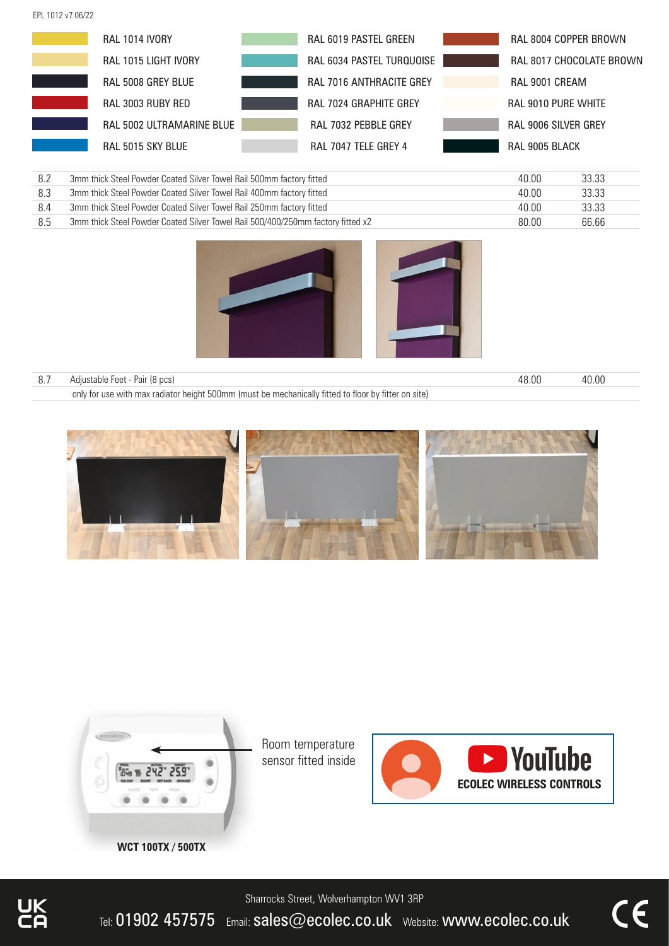EPL 1012 v7 06/22

| <b>RAL 1014 IVORY</b>     | RAL 6019 PASTEL GREEN           | RAL 8004 COPPER BROWN       |
|---------------------------|---------------------------------|-----------------------------|
| RAL 1015 LIGHT IVORY      | RAL 6034 PASTEL TURQUOISE       | RAL 8017 CHOCOLATE BROWN    |
| RAL 5008 GREY BLUE        | <b>RAL 7016 ANTHRACITE GREY</b> | RAL 9001 CREAM              |
| RAL 3003 RUBY RED         | <b>RAL 7024 GRAPHITE GREY</b>   | <b>RAL 9010 PURE WHITE</b>  |
| RAL 5002 ULTRAMARINE BLUE | <b>RAL 7032 PEBBLE GREY</b>     | <b>RAL 9006 SILVER GREY</b> |
| RAL 5015 SKY BLUE         | RAL 7047 TELE GREY 4            | RAL 9005 BLACK              |

| 8.2 | 3mm thick Steel Powder Coated Silver Towel Rail 500mm factory fitted            | 40.00 | 33.33 |
|-----|---------------------------------------------------------------------------------|-------|-------|
| 8.3 | 3mm thick Steel Powder Coated Silver Towel Rail 400mm factory fitted            | 40.00 | 33.33 |
|     | 3mm thick Steel Powder Coated Silver Towel Rail 250mm factory fitted            | 40.00 | 33.33 |
| 8.5 | 3mm thick Steel Powder Coated Silver Towel Rail 500/400/250mm factory fitted x2 | 80.00 | 66.66 |



| 8.7 Adjustable Feet - Pair (8 pcs)                                                                   | 48.00 | 40.00 |
|------------------------------------------------------------------------------------------------------|-------|-------|
| only for use with max radiator height 500mm (must be mechanically fitted to floor by fitter on site) |       |       |





Room temperature sensor fitted inside



Sharrocks Street, Wolverhampton WV1 3RP

Tel: 01902 457575 Email: sales@ecolec.co.uk Website: www.ecolec.co.uk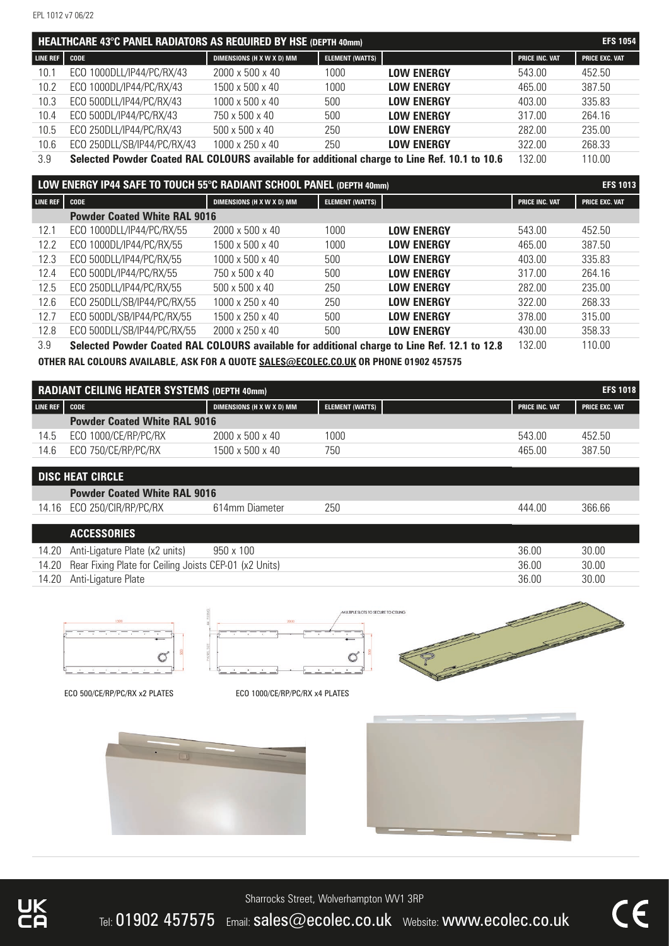| HEALTHCARE 43°C PANEL RADIATORS AS REQUIRED BY HSE (DEPTH 40mm) |                                                                                              |                             |                        |                   |                       | <b>EFS 1054</b>       |
|-----------------------------------------------------------------|----------------------------------------------------------------------------------------------|-----------------------------|------------------------|-------------------|-----------------------|-----------------------|
| LINE REF   CODE                                                 |                                                                                              | DIMENSIONS (H X W X D) MM   | <b>ELEMENT (WATTS)</b> |                   | <b>PRICE INC. VAT</b> | <b>PRICE EXC. VAT</b> |
| 10.1                                                            | ECO 1000DLL/IP44/PC/RX/43                                                                    | $2000 \times 500 \times 40$ | 1000                   | <b>LOW ENERGY</b> | 543.00                | 452.50                |
| 10.2                                                            | ECO 1000DL/IP44/PC/RX/43                                                                     | 1500 x 500 x 40             | 1000                   | <b>LOW ENERGY</b> | 465.00                | 387.50                |
| 10.3                                                            | ECO 500DLL/IP44/PC/RX/43                                                                     | 1000 x 500 x 40             | 500                    | <b>LOW ENERGY</b> | 403.00                | 335.83                |
| 10.4                                                            | ECO 500DL/IP44/PC/RX/43                                                                      | 750 x 500 x 40              | 500                    | <b>LOW ENERGY</b> | 317.00                | 264.16                |
| 10.5                                                            | ECO 250DLL/IP44/PC/RX/43                                                                     | 500 x 500 x 40              | 250                    | <b>LOW ENERGY</b> | 282.00                | 235.00                |
| 10.6                                                            | ECO 250DLL/SB/IP44/PC/RX/43                                                                  | 1000 x 250 x 40             | 250                    | <b>LOW ENERGY</b> | 322.00                | 268.33                |
| 3.9                                                             | Selected Powder Coated RAL COLOURS available for additional charge to Line Ref. 10.1 to 10.6 |                             |                        |                   | 132.00                | 110.00                |

|                 | LOW ENERGY IP44 SAFE TO TOUCH 55°C RADIANT SCHOOL PANEL (DEPTH 40mm)                         |                             |                        |                   |                       | <b>EFS 1013</b>       |
|-----------------|----------------------------------------------------------------------------------------------|-----------------------------|------------------------|-------------------|-----------------------|-----------------------|
| <b>LINE REF</b> | <b>CODE</b>                                                                                  | DIMENSIONS (H X W X D) MM   | <b>ELEMENT (WATTS)</b> |                   | <b>PRICE INC. VAT</b> | <b>PRICE EXC. VAT</b> |
|                 | <b>Powder Coated White RAL 9016</b>                                                          |                             |                        |                   |                       |                       |
| 12.1            | ECO 1000DLL/IP44/PC/RX/55                                                                    | $2000 \times 500 \times 40$ | 1000                   | <b>LOW ENERGY</b> | 543.00                | 452.50                |
| 12.2            | ECO 1000DL/IP44/PC/RX/55                                                                     | 1500 x 500 x 40             | 1000                   | <b>LOW ENERGY</b> | 465.00                | 387.50                |
| 12.3            | ECO 500DLL/IP44/PC/RX/55                                                                     | 1000 x 500 x 40             | 500                    | <b>LOW ENERGY</b> | 403.00                | 335.83                |
| 12.4            | ECO 500DL/IP44/PC/RX/55                                                                      | 750 x 500 x 40              | 500                    | <b>LOW ENERGY</b> | 317.00                | 264.16                |
| 12.5            | ECO 250DLL/IP44/PC/RX/55                                                                     | $500 \times 500 \times 40$  | 250                    | <b>LOW ENERGY</b> | 282.00                | 235.00                |
| 12.6            | ECO 250DLL/SB/IP44/PC/RX/55                                                                  | $1000 \times 250 \times 40$ | 250                    | <b>LOW ENERGY</b> | 322.00                | 268.33                |
| 12.7            | ECO 500DL/SB/IP44/PC/RX/55                                                                   | 1500 x 250 x 40             | 500                    | <b>LOW ENERGY</b> | 378.00                | 315.00                |
| 12.8            | ECO 500DLL/SB/IP44/PC/RX/55                                                                  | $2000 \times 250 \times 40$ | 500                    | <b>LOW ENERGY</b> | 430.00                | 358.33                |
| 3.9             | Selected Powder Coated RAL COLOURS available for additional charge to Line Ref. 12.1 to 12.8 |                             |                        |                   | 132.00                | 110.00                |

**OTHER RAL COLOURS AVAILABLE, ASK FOR A QUOTE SALES@ECOLEC.CO.UK OR PHONE 01902 457575**

| RADIANT CEILING HEATER SYSTEMS (DEPTH 40mm) |                                     |                             |                        |                       | <b>EFS 1018</b>       |
|---------------------------------------------|-------------------------------------|-----------------------------|------------------------|-----------------------|-----------------------|
| LINE REF   CODE                             |                                     | DIMENSIONS (H X W X D) MM   | <b>ELEMENT (WATTS)</b> | <b>PRICE INC. VAT</b> | <b>PRICE EXC. VAT</b> |
|                                             | <b>Powder Coated White RAL 9016</b> |                             |                        |                       |                       |
| 14.5                                        | ECO 1000/CE/RP/PC/RX                | $2000 \times 500 \times 40$ | 1000                   | 543.00                | 452.50                |
| 14.6                                        | ECO 750/CE/RP/PC/RX                 | 1500 x 500 x 40             | 750                    | 465.00                | 387.50                |
|                                             |                                     |                             |                        |                       |                       |

### **DISC HEAT CIRCLE**

| <b>Powder Coated White RAL 9016</b> |                |     |        |        |
|-------------------------------------|----------------|-----|--------|--------|
| 14.16 ECO 250/CIR/RP/PC/RX          | 614mm Diameter | 250 | 444.00 | 366.66 |

#### **ACCESSORIES**

| 14.20 | Anti-Ligature Plate (x2 units)                         | 950 x 100 | 36.00  | 30.00 |
|-------|--------------------------------------------------------|-----------|--------|-------|
| 14.20 | Rear Fixing Plate for Ceiling Joists CEP-01 (x2 Units) |           | -36.00 | 30.00 |
| 14.20 | Anti-Ligature Plate                                    |           | 36.00  | 30.00 |



ECO 500/CE/RP/PC/RX x2 PLATES ECO 1000/CE/RP/PC/RX x4 PLATES